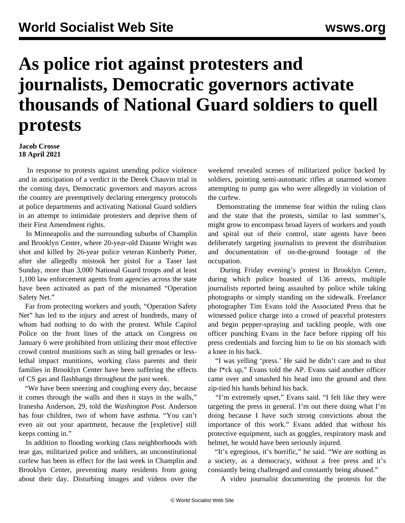## **As police riot against protesters and journalists, Democratic governors activate thousands of National Guard soldiers to quell protests**

**Jacob Crosse 18 April 2021**

 In response to protests against unending police violence and in anticipation of a verdict in the Derek Chauvin trial in the coming days, Democratic governors and mayors across the country are preemptively declaring emergency protocols at police departments and activating National Guard soldiers in an attempt to intimidate protesters and deprive them of their First Amendment rights.

 In Minneapolis and the surrounding suburbs of Champlin and Brooklyn Center, where 20-year-old Daunte Wright was shot and killed by 26-year police veteran Kimberly Potter, after she allegedly mistook her pistol for a Taser last Sunday, more than 3,000 National Guard troops and at least 1,100 law enforcement agents from agencies across the state have been activated as part of the misnamed "Operation Safety Net."

 Far from protecting workers and youth, "Operation Safety Net" has led to the injury and arrest of hundreds, many of whom had nothing to do with the protest. While Capitol Police on the front lines of the attack on Congress on January 6 were prohibited from utilizing their [most effective](/en/articles/2021/04/17/pers-a17.html) [crowd control munitions such as sting ball grenades or less](/en/articles/2021/04/17/pers-a17.html)[lethal impact munitions, w](/en/articles/2021/04/17/pers-a17.html)orking class parents and their families in Brooklyn Center have been suffering the effects of CS gas and flashbangs throughout the past week.

 "We have been sneezing and coughing every day, because it comes through the walls and then it stays in the walls," Iranesha Anderson, 29, told the *Washington Post*. Anderson has four children, two of whom have asthma. "You can't even air out your apartment, because the [expletive] still keeps coming in."

 In addition to flooding working class neighborhoods with tear gas, militarized police and soldiers, an unconstitutional curfew has been in effect for the last week in Champlin and Brooklyn Center, preventing many residents from going about their day. Disturbing images and videos over the weekend revealed scenes of militarized police backed by soldiers, [pointing semi-automatic rifles at unarmed women](https://twitter.com/GoddesstheMuse/status/1383245332557959168) attempting to pump gas who were allegedly in violation of the curfew.

 Demonstrating the immense fear within the ruling class and the state that the protests, similar to last summer's, might grow to encompass broad layers of workers and youth and spiral out of their control, state agents have been deliberately targeting journalists to prevent the distribution and documentation of on-the-ground footage of the occupation.

 During Friday evening's protest in Brooklyn Center, during which police boasted of 136 arrests, multiple journalists reported being assaulted by police while taking photographs or simply standing on the sidewalk. Freelance photographer Tim Evans told the Associated Press that he witnessed police charge into a crowd of peaceful protesters and begin pepper-spraying and tackling people, with one officer punching Evans in the face before ripping off his press credentials and forcing him to lie on his stomach with a knee in his back.

 "I was yelling 'press.' He said he didn't care and to shut the f\*ck up," Evans told the AP. Evans said another officer came over and smashed his head into the ground and then zip-tied his hands behind his back.

 "I'm extremely upset," Evans said. "I felt like they were targeting the press in general. I'm out there doing what I'm doing because I have such strong convictions about the importance of this work." Evans added that without his protective equipment, such as goggles, respiratory mask and helmet, he would have been seriously injured.

 "It's egregious, it's horrific," he said. "We are nothing as a society, as a democracy, without a free press and it's constantly being challenged and constantly being abused."

A video journalist documenting the protests for the